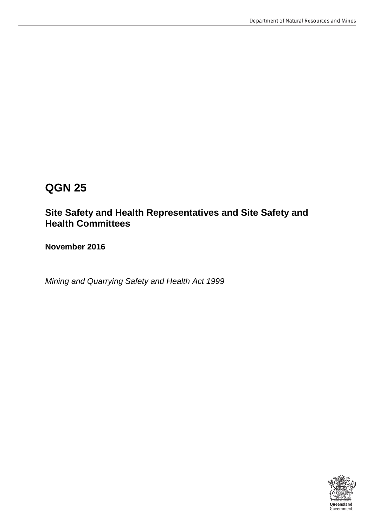# **QGN 25**

## **Site Safety and Health Representatives and Site Safety and Health Committees**

**November 2016**

*Mining and Quarrying Safety and Health Act 1999*

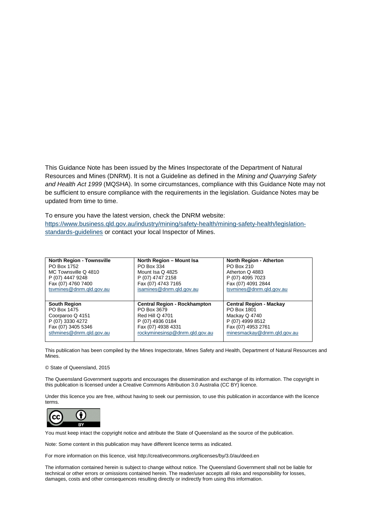This Guidance Note has been issued by the Mines Inspectorate of the Department of Natural Resources and Mines (DNRM). It is not a Guideline as defined in the *Mining and Quarrying Safety and Health Act 1999* (MQSHA). In some circumstances, compliance with this Guidance Note may not be sufficient to ensure compliance with the requirements in the legislation. Guidance Notes may be updated from time to time.

To ensure you have the latest version, check the DNRM website: [https://www.business.qld.gov.au/industry/mining/safety-health/mining-safety-health/legislation](https://www.business.qld.gov.au/industry/mining/safety-health/mining-safety-health/legislation-standards-guidelines)[standards-guidelines](https://www.business.qld.gov.au/industry/mining/safety-health/mining-safety-health/legislation-standards-guidelines) or contact your local Inspector of Mines.

| <b>North Region - Townsville</b> | North Region - Mount Isa            | <b>North Region - Atherton</b>                |
|----------------------------------|-------------------------------------|-----------------------------------------------|
| PO Box 1752                      | PO Box 334                          | PO Box 210                                    |
| MC Townsville Q 4810             | Mount Isa Q 4825                    | Atherton Q 4883                               |
| P (07) 4447 9248                 | P (07) 4747 2158                    | P (07) 4095 7023                              |
| Fax (07) 4760 7400               | Fax (07) 4743 7165                  | Fax (07) 4091 2844                            |
| tsvmines@dnrm.qld.gov.au         | isamines@dnrm.gld.gov.au            | tsvmines@dnrm.qld.gov.au                      |
|                                  |                                     |                                               |
|                                  |                                     |                                               |
| <b>South Region</b>              | <b>Central Region - Rockhampton</b> |                                               |
| PO Box 1475                      | PO Box 3679                         | <b>Central Region - Mackay</b><br>PO Box 1801 |
| Coorparoo Q 4151                 | Red Hill Q 4701                     | Mackay Q 4740                                 |
| P (07) 3330 4272                 | P (07) 4936 0184                    | P (07) 4999 8512                              |
| Fax (07) 3405 5346               | Fax (07) 4938 4331                  | Fax (07) 4953 2761                            |
| sthmines@dnrm.gld.gov.au         | rockyminesinsp@dnrm.gld.gov.au      | minesmackay@dnrm.gld.gov.au                   |

This publication has been compiled by the Mines Inspectorate, Mines Safety and Health, Department of Natural Resources and Mines.

#### © State of Queensland, 2015

The Queensland Government supports and encourages the dissemination and exchange of its information. The copyright in this publication is licensed under a Creative Commons Attribution 3.0 Australia (CC BY) licence.

Under this licence you are free, without having to seek our permission, to use this publication in accordance with the licence terms.



You must keep intact the copyright notice and attribute the State of Queensland as the source of the publication.

Note: Some content in this publication may have different licence terms as indicated.

For more information on this licence, visit http://creativecommons.org/licenses/by/3.0/au/deed.en

The information contained herein is subject to change without notice. The Queensland Government shall not be liable for technical or other errors or omissions contained herein. The reader/user accepts all risks and responsibility for losses, damages, costs and other consequences resulting directly or indirectly from using this information.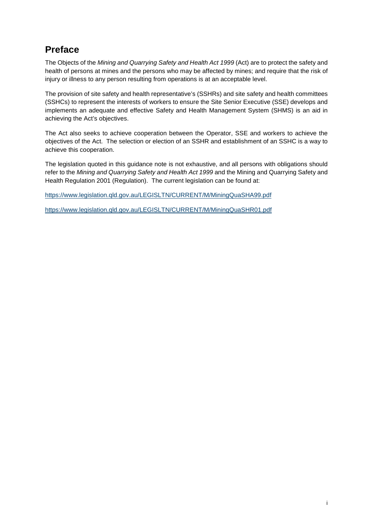## <span id="page-2-0"></span>**Preface**

The Objects of the *Mining and Quarrying Safety and Health Act 1999* (Act) are to protect the safety and health of persons at mines and the persons who may be affected by mines; and require that the risk of injury or illness to any person resulting from operations is at an acceptable level.

The provision of site safety and health representative's (SSHRs) and site safety and health committees (SSHCs) to represent the interests of workers to ensure the Site Senior Executive (SSE) develops and implements an adequate and effective Safety and Health Management System (SHMS) is an aid in achieving the Act's objectives.

The Act also seeks to achieve cooperation between the Operator, SSE and workers to achieve the objectives of the Act. The selection or election of an SSHR and establishment of an SSHC is a way to achieve this cooperation.

The legislation quoted in this guidance note is not exhaustive, and all persons with obligations should refer to the *Mining and Quarrying Safety and Health Act 1999* and the Mining and Quarrying Safety and Health Regulation 2001 (Regulation). The current legislation can be found at:

<https://www.legislation.qld.gov.au/LEGISLTN/CURRENT/M/MiningQuaSHA99.pdf>

<https://www.legislation.qld.gov.au/LEGISLTN/CURRENT/M/MiningQuaSHR01.pdf>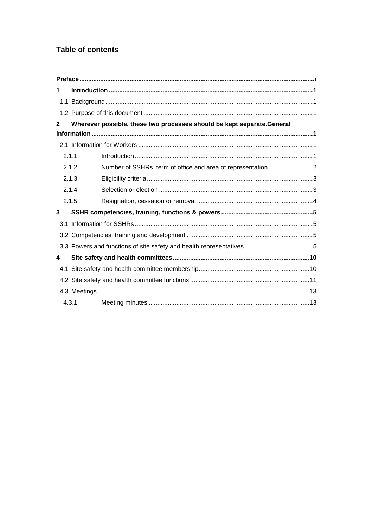### **Table of contents**

| 1     |                                                                         |
|-------|-------------------------------------------------------------------------|
|       |                                                                         |
|       |                                                                         |
| 2     | Wherever possible, these two processes should be kept separate. General |
|       |                                                                         |
|       |                                                                         |
| 2.1.1 |                                                                         |
|       | 2.1.2                                                                   |
|       | 2.1.3                                                                   |
|       | 2.1.4                                                                   |
|       | 2.1.5                                                                   |
| 3     |                                                                         |
|       |                                                                         |
|       |                                                                         |
|       |                                                                         |
| 4     |                                                                         |
|       |                                                                         |
|       |                                                                         |
|       |                                                                         |
| 4.3.1 |                                                                         |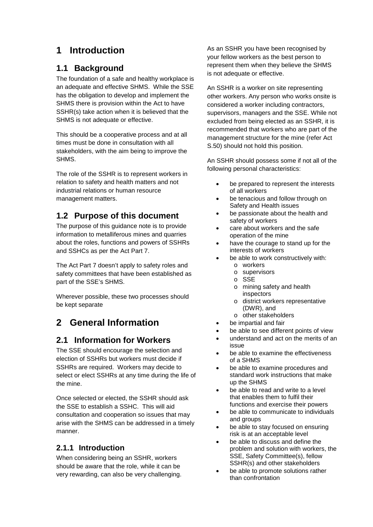## <span id="page-4-0"></span>**1 Introduction**

### <span id="page-4-1"></span>**1.1 Background**

The foundation of a safe and healthy workplace is an adequate and effective SHMS. While the SSE has the obligation to develop and implement the SHMS there is provision within the Act to have SSHR(s) take action when it is believed that the SHMS is not adequate or effective.

This should be a cooperative process and at all times must be done in consultation with all stakeholders, with the aim being to improve the SHMS.

The role of the SSHR is to represent workers in relation to safety and health matters and not industrial relations or human resource management matters.

### <span id="page-4-2"></span>**1.2 Purpose of this document**

The purpose of this guidance note is to provide information to metalliferous mines and quarries about the roles, functions and powers of SSHRs and SSHCs as per the Act Part 7.

The Act Part 7 doesn't apply to safety roles and safety committees that have been established as part of the SSE's SHMS.

Wherever possible, these two processes should be kept separate

## <span id="page-4-3"></span>**2 General Information**

### <span id="page-4-4"></span>**2.1 Information for Workers**

The SSE should encourage the selection and election of SSHRs but workers must decide if SSHRs are required. Workers may decide to select or elect SSHRs at any time during the life of the mine.

Once selected or elected, the SSHR should ask the SSE to establish a SSHC. This will aid consultation and cooperation so issues that may arise with the SHMS can be addressed in a timely manner.

### <span id="page-4-5"></span>**2.1.1 Introduction**

When considering being an SSHR, workers should be aware that the role, while it can be very rewarding, can also be very challenging.

As an SSHR you have been recognised by your fellow workers as the best person to represent them when they believe the SHMS is not adequate or effective.

An SSHR is a worker on site representing other workers. Any person who works onsite is considered a worker including contractors, supervisors, managers and the SSE. While not excluded from being elected as an SSHR, it is recommended that workers who are part of the management structure for the mine (refer Act S.50) should not hold this position.

An SSHR should possess some if not all of the following personal characteristics:

- be prepared to represent the interests of all workers
- be tenacious and follow through on Safety and Health issues
- be passionate about the health and safety of workers
- care about workers and the safe operation of the mine
- have the courage to stand up for the interests of workers
- be able to work constructively with:
	- o workers
	- o supervisors
	- o SSE
	- o mining safety and health inspectors
	- o district workers representative (DWR), and
	- o other stakeholders
- be impartial and fair
- be able to see different points of view
- understand and act on the merits of an issue
- be able to examine the effectiveness of a SHMS
- be able to examine procedures and standard work instructions that make up the SHMS
- be able to read and write to a level that enables them to fulfil their functions and exercise their powers
- be able to communicate to individuals and groups
- be able to stay focused on ensuring risk is at an acceptable level
- be able to discuss and define the problem and solution with workers, the SSE, Safety Committee(s), fellow SSHR(s) and other stakeholders
- be able to promote solutions rather than confrontation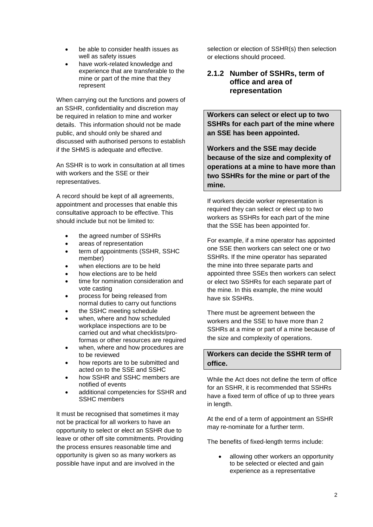- be able to consider health issues as well as safety issues
- have work-related knowledge and experience that are transferable to the mine or part of the mine that they represent

When carrying out the functions and powers of an SSHR, confidentiality and discretion may be required in relation to mine and worker details. This information should not be made public, and should only be shared and discussed with authorised persons to establish if the SHMS is adequate and effective.

An SSHR is to work in consultation at all times with workers and the SSE or their representatives.

A record should be kept of all agreements, appointment and processes that enable this consultative approach to be effective. This should include but not be limited to:

- the agreed number of SSHRs
- areas of representation
- term of appointments (SSHR, SSHC member)
- when elections are to be held
- how elections are to be held
- time for nomination consideration and vote casting
- process for being released from normal duties to carry out functions
- the SSHC meeting schedule
- when, where and how scheduled workplace inspections are to be carried out and what checklists/proformas or other resources are required
- when, where and how procedures are to be reviewed
- how reports are to be submitted and acted on to the SSE and SSHC
- how SSHR and SSHC members are notified of events
- additional competencies for SSHR and SSHC members

It must be recognised that sometimes it may not be practical for all workers to have an opportunity to select or elect an SSHR due to leave or other off site commitments. Providing the process ensures reasonable time and opportunity is given so as many workers as possible have input and are involved in the

selection or election of SSHR(s) then selection or elections should proceed.

#### <span id="page-5-0"></span>**2.1.2 Number of SSHRs, term of office and area of representation**

**Workers can select or elect up to two SSHRs for each part of the mine where an SSE has been appointed.** 

**Workers and the SSE may decide because of the size and complexity of operations at a mine to have more than two SSHRs for the mine or part of the mine.**

If workers decide worker representation is required they can select or elect up to two workers as SSHRs for each part of the mine that the SSE has been appointed for.

For example, if a mine operator has appointed one SSE then workers can select one or two SSHRs. If the mine operator has separated the mine into three separate parts and appointed three SSEs then workers can select or elect two SSHRs for each separate part of the mine. In this example, the mine would have six SSHRs.

There must be agreement between the workers and the SSE to have more than 2 SSHRs at a mine or part of a mine because of the size and complexity of operations.

### **Workers can decide the SSHR term of office.**

While the Act does not define the term of office for an SSHR, it is recommended that SSHRs have a fixed term of office of up to three years in length.

At the end of a term of appointment an SSHR may re-nominate for a further term.

The benefits of fixed-length terms include:

• allowing other workers an opportunity to be selected or elected and gain experience as a representative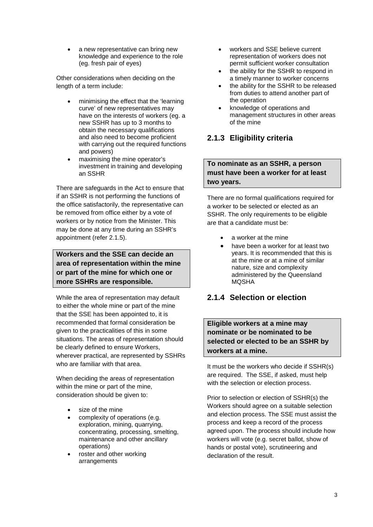a new representative can bring new knowledge and experience to the role (eg. fresh pair of eyes)

Other considerations when deciding on the length of a term include:

- minimising the effect that the 'learning curve' of new representatives may have on the interests of workers (eg. a new SSHR has up to 3 months to obtain the necessary qualifications and also need to become proficient with carrying out the required functions and powers)
- maximising the mine operator's investment in training and developing an SSHR

There are safeguards in the Act to ensure that if an SSHR is not performing the functions of the office satisfactorily, the representative can be removed from office either by a vote of workers or by notice from the Minister. This may be done at any time during an SSHR's appointment (refer 2.1.5).

**Workers and the SSE can decide an area of representation within the mine or part of the mine for which one or more SSHRs are responsible.**

While the area of representation may default to either the whole mine or part of the mine that the SSE has been appointed to, it is recommended that formal consideration be given to the practicalities of this in some situations. The areas of representation should be clearly defined to ensure Workers, wherever practical, are represented by SSHRs who are familiar with that area.

When deciding the areas of representation within the mine or part of the mine, consideration should be given to:

- size of the mine
- complexity of operations (e.g. exploration, mining, quarrying, concentrating, processing, smelting, maintenance and other ancillary operations)
- roster and other working arrangements
- workers and SSE believe current representation of workers does not permit sufficient worker consultation
- the ability for the SSHR to respond in a timely manner to worker concerns
- the ability for the SSHR to be released from duties to attend another part of the operation
- knowledge of operations and management structures in other areas of the mine

### <span id="page-6-0"></span>**2.1.3 Eligibility criteria**

#### **To nominate as an SSHR, a person must have been a worker for at least two years.**

There are no formal qualifications required for a worker to be selected or elected as an SSHR. The only requirements to be eligible are that a candidate must be:

- a worker at the mine
- have been a worker for at least two years. It is recommended that this is at the mine or at a mine of similar nature, size and complexity administered by the Queensland MQSHA

### <span id="page-6-1"></span>**2.1.4 Selection or election**

**Eligible workers at a mine may nominate or be nominated to be selected or elected to be an SSHR by workers at a mine.**

It must be the workers who decide if SSHR(s) are required. The SSE, if asked, must help with the selection or election process.

Prior to selection or election of SSHR(s) the Workers should agree on a suitable selection and election process. The SSE must assist the process and keep a record of the process agreed upon. The process should include how workers will vote (e.g. secret ballot, show of hands or postal vote), scrutineering and declaration of the result.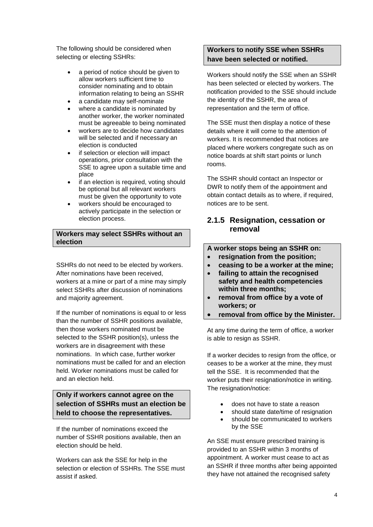The following should be considered when selecting or electing SSHRs:

- a period of notice should be given to allow workers sufficient time to consider nominating and to obtain information relating to being an SSHR
- a candidate may self-nominate
- where a candidate is nominated by another worker, the worker nominated must be agreeable to being nominated
- workers are to decide how candidates will be selected and if necessary an election is conducted
- if selection or election will impact operations, prior consultation with the SSE to agree upon a suitable time and place
- if an election is required, voting should be optional but all relevant workers must be given the opportunity to vote
- workers should be encouraged to actively participate in the selection or election process.

#### **Workers may select SSHRs without an election**

SSHRs do not need to be elected by workers. After nominations have been received, workers at a mine or part of a mine may simply select SSHRs after discussion of nominations and majority agreement.

If the number of nominations is equal to or less than the number of SSHR positions available, then those workers nominated must be selected to the SSHR position(s), unless the workers are in disagreement with these nominations. In which case, further worker nominations must be called for and an election held. Worker nominations must be called for and an election held.

### **Only if workers cannot agree on the selection of SSHRs must an election be held to choose the representatives.**

If the number of nominations exceed the number of SSHR positions available, then an election should be held.

Workers can ask the SSE for help in the selection or election of SSHRs. The SSE must assist if asked.

#### **Workers to notify SSE when SSHRs have been selected or notified.**

Workers should notify the SSE when an SSHR has been selected or elected by workers. The notification provided to the SSE should include the identity of the SSHR, the area of representation and the term of office.

The SSE must then display a notice of these details where it will come to the attention of workers. It is recommended that notices are placed where workers congregate such as on notice boards at shift start points or lunch rooms.

The SSHR should contact an Inspector or DWR to notify them of the appointment and obtain contact details as to where, if required, notices are to be sent.

### <span id="page-7-0"></span>**2.1.5 Resignation, cessation or removal**

**A worker stops being an SSHR on:**

- **resignation from the position;**
- **ceasing to be a worker at the mine;**
- **failing to attain the recognised safety and health competencies within three months;**
- **removal from office by a vote of workers; or**
- **removal from office by the Minister.**

At any time during the term of office, a worker is able to resign as SSHR.

If a worker decides to resign from the office, or ceases to be a worker at the mine, they must tell the SSE. It is recommended that the worker puts their resignation/notice in writing. The resignation/notice:

- does not have to state a reason
- should state date/time of resignation
- should be communicated to workers by the SSE

An SSE must ensure prescribed training is provided to an SSHR within 3 months of appointment. A worker must cease to act as an SSHR if three months after being appointed they have not attained the recognised safety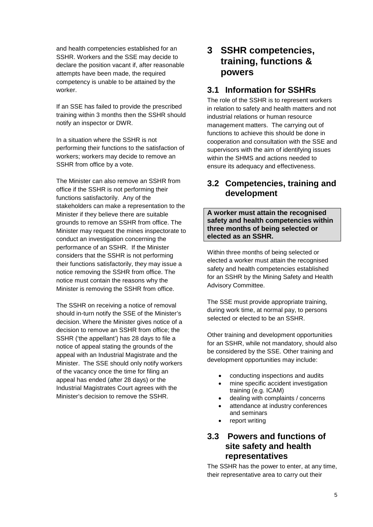and health competencies established for an SSHR. Workers and the SSE may decide to declare the position vacant if, after reasonable attempts have been made, the required competency is unable to be attained by the worker.

If an SSE has failed to provide the prescribed training within 3 months then the SSHR should notify an inspector or DWR.

In a situation where the SSHR is not performing their functions to the satisfaction of workers; workers may decide to remove an SSHR from office by a vote.

The Minister can also remove an SSHR from office if the SSHR is not performing their functions satisfactorily. Any of the stakeholders can make a representation to the Minister if they believe there are suitable grounds to remove an SSHR from office. The Minister may request the mines inspectorate to conduct an investigation concerning the performance of an SSHR. If the Minister considers that the SSHR is not performing their functions satisfactorily, they may issue a notice removing the SSHR from office. The notice must contain the reasons why the Minister is removing the SSHR from office.

The SSHR on receiving a notice of removal should in-turn notify the SSE of the Minister's decision. Where the Minister gives notice of a decision to remove an SSHR from office; the SSHR ('the appellant') has 28 days to file a notice of appeal stating the grounds of the appeal with an Industrial Magistrate and the Minister. The SSE should only notify workers of the vacancy once the time for filing an appeal has ended (after 28 days) or the Industrial Magistrates Court agrees with the Minister's decision to remove the SSHR.

## <span id="page-8-0"></span>**3 SSHR competencies, training, functions & powers**

### <span id="page-8-1"></span>**3.1 Information for SSHRs**

The role of the SSHR is to represent workers in relation to safety and health matters and not industrial relations or human resource management matters. The carrying out of functions to achieve this should be done in cooperation and consultation with the SSE and supervisors with the aim of identifying issues within the SHMS and actions needed to ensure its adequacy and effectiveness.

### <span id="page-8-2"></span>**3.2 Competencies, training and development**

**A worker must attain the recognised safety and health competencies within three months of being selected or elected as an SSHR.**

Within three months of being selected or elected a worker must attain the recognised safety and health competencies established for an SSHR by the Mining Safety and Health Advisory Committee.

The SSE must provide appropriate training, during work time, at normal pay, to persons selected or elected to be an SSHR.

Other training and development opportunities for an SSHR, while not mandatory, should also be considered by the SSE. Other training and development opportunities may include:

- conducting inspections and audits
- mine specific accident investigation training (e.g. ICAM)
- dealing with complaints / concerns
- attendance at industry conferences and seminars
- <span id="page-8-3"></span>• report writing

### **3.3 Powers and functions of site safety and health representatives**

The SSHR has the power to enter, at any time, their representative area to carry out their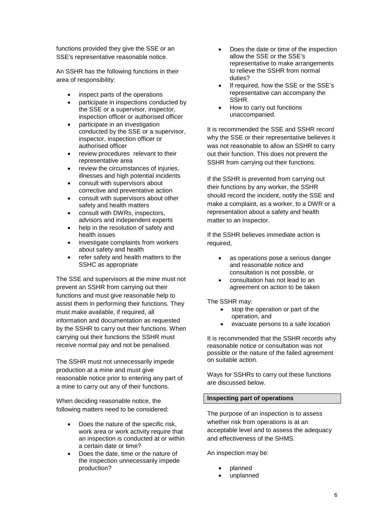functions provided they give the SSE or an SSE's representative reasonable notice.

An SSHR has the following functions in their area of responsibility:

- inspect parts of the operations
- participate in inspections conducted by the SSE or a supervisor, inspector, inspection officer or authorised officer
- participate in an investigation conducted by the SSE or a supervisor, inspector, inspection officer or authorised officer
- review procedures relevant to their representative area
- review the circumstances of injuries. illnesses and high potential incidents
- consult with supervisors about corrective and preventative action
- consult with supervisors about other safety and health matters
- consult with DWRs, inspectors, advisors and independent experts
- help in the resolution of safety and health issues
- investigate complaints from workers about safety and health
- refer safety and health matters to the SSHC as appropriate

The SSE and supervisors at the mine must not prevent an SSHR from carrying out their functions and must give reasonable help to assist them in performing their functions. They must make available, if required, all information and documentation as requested by the SSHR to carry out their functions. When carrying out their functions the SSHR must receive normal pay and not be penalised.

The SSHR must not unnecessarily impede production at a mine and must give reasonable notice prior to entering any part of a mine to carry out any of their functions.

When deciding reasonable notice, the following matters need to be considered:

- Does the nature of the specific risk, work area or work activity require that an inspection is conducted at or within a certain date or time?
- Does the date, time or the nature of the inspection unnecessarily impede production?
- Does the date or time of the inspection allow the SSE or the SSE's representative to make arrangements to relieve the SSHR from normal duties?
- If required, how the SSE or the SSE's representative can accompany the SSHR.
- How to carry out functions unaccompanied.

It is recommended the SSE and SSHR record why the SSE or their representative believes it was not reasonable to allow an SSHR to carry out their function. This does not prevent the SSHR from carrying out their functions.

If the SSHR is prevented from carrying out their functions by any worker, the SSHR should record the incident, notify the SSE and make a complaint, as a worker, to a DWR or a representation about a safety and health matter to an Inspector.

If the SSHR believes immediate action is required,

- as operations pose a serious danger and reasonable notice and consultation is not possible, or
- consultation has not lead to an agreement on action to be taken

The SSHR may:

- stop the operation or part of the operation, and
- evacuate persons to a safe location

It is recommended that the SSHR records why reasonable notice or consultation was not possible or the nature of the failed agreement on suitable action.

Ways for SSHRs to carry out these functions are discussed below.

#### **Inspecting part of operations**

The purpose of an inspection is to assess whether risk from operations is at an acceptable level and to assess the adequacy and effectiveness of the SHMS.

An inspection may be:

- planned
- unplanned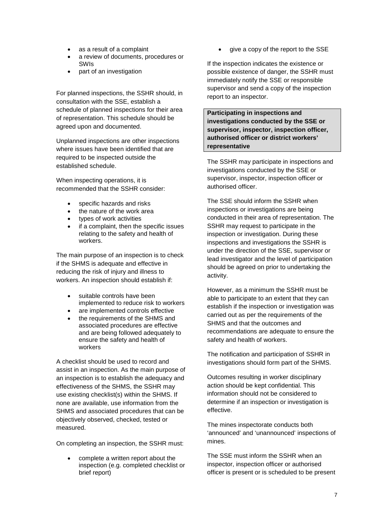- as a result of a complaint
- a review of documents, procedures or SWIs
- part of an investigation

For planned inspections, the SSHR should, in consultation with the SSE, establish a schedule of planned inspections for their area of representation. This schedule should be agreed upon and documented.

Unplanned inspections are other inspections where issues have been identified that are required to be inspected outside the established schedule.

When inspecting operations, it is recommended that the SSHR consider:

- specific hazards and risks
- the nature of the work area
- types of work activities
- if a complaint, then the specific issues relating to the safety and health of workers.

The main purpose of an inspection is to check if the SHMS is adequate and effective in reducing the risk of injury and illness to workers. An inspection should establish if:

- suitable controls have been implemented to reduce risk to workers
- are implemented controls effective
- the requirements of the SHMS and associated procedures are effective and are being followed adequately to ensure the safety and health of workers

A checklist should be used to record and assist in an inspection. As the main purpose of an inspection is to establish the adequacy and effectiveness of the SHMS, the SSHR may use existing checklist(s) within the SHMS. If none are available, use information from the SHMS and associated procedures that can be objectively observed, checked, tested or measured.

On completing an inspection, the SSHR must:

• complete a written report about the inspection (e.g. completed checklist or brief report)

give a copy of the report to the SSE

If the inspection indicates the existence or possible existence of danger, the SSHR must immediately notify the SSE or responsible supervisor and send a copy of the inspection report to an inspector.

**Participating in inspections and investigations conducted by the SSE or supervisor, inspector, inspection officer, authorised officer or district workers' representative**

The SSHR may participate in inspections and investigations conducted by the SSE or supervisor, inspector, inspection officer or authorised officer.

The SSE should inform the SSHR when inspections or investigations are being conducted in their area of representation. The SSHR may request to participate in the inspection or investigation. During these inspections and investigations the SSHR is under the direction of the SSE, supervisor or lead investigator and the level of participation should be agreed on prior to undertaking the activity.

However, as a minimum the SSHR must be able to participate to an extent that they can establish if the inspection or investigation was carried out as per the requirements of the SHMS and that the outcomes and recommendations are adequate to ensure the safety and health of workers.

The notification and participation of SSHR in investigations should form part of the SHMS.

Outcomes resulting in worker disciplinary action should be kept confidential. This information should not be considered to determine if an inspection or investigation is effective.

The mines inspectorate conducts both 'announced' and 'unannounced' inspections of mines.

The SSE must inform the SSHR when an inspector, inspection officer or authorised officer is present or is scheduled to be present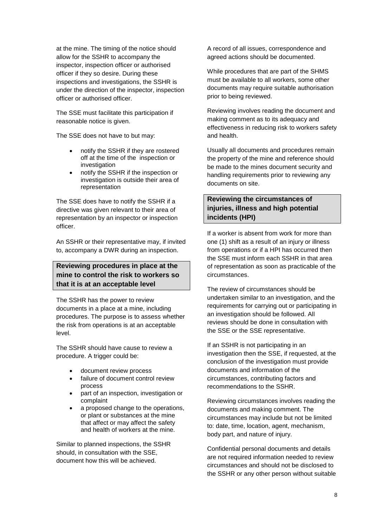at the mine. The timing of the notice should allow for the SSHR to accompany the inspector, inspection officer or authorised officer if they so desire. During these inspections and investigations, the SSHR is under the direction of the inspector, inspection officer or authorised officer.

The SSE must facilitate this participation if reasonable notice is given.

The SSE does not have to but may:

- notify the SSHR if they are rostered off at the time of the inspection or investigation
- notify the SSHR if the inspection or investigation is outside their area of representation

The SSE does have to notify the SSHR if a directive was given relevant to their area of representation by an inspector or inspection officer.

An SSHR or their representative may, if invited to, accompany a DWR during an inspection.

#### **Reviewing procedures in place at the mine to control the risk to workers so that it is at an acceptable level**

The SSHR has the power to review documents in a place at a mine, including procedures. The purpose is to assess whether the risk from operations is at an acceptable level.

The SSHR should have cause to review a procedure. A trigger could be:

- document review process
- failure of document control review process
- part of an inspection, investigation or complaint
- a proposed change to the operations. or plant or substances at the mine that affect or may affect the safety and health of workers at the mine.

Similar to planned inspections, the SSHR should, in consultation with the SSE, document how this will be achieved.

A record of all issues, correspondence and agreed actions should be documented.

While procedures that are part of the SHMS must be available to all workers, some other documents may require suitable authorisation prior to being reviewed.

Reviewing involves reading the document and making comment as to its adequacy and effectiveness in reducing risk to workers safety and health.

Usually all documents and procedures remain the property of the mine and reference should be made to the mines document security and handling requirements prior to reviewing any documents on site.

### **Reviewing the circumstances of injuries, illness and high potential incidents (HPI)**

If a worker is absent from work for more than one (1) shift as a result of an injury or illness from operations or if a HPI has occurred then the SSE must inform each SSHR in that area of representation as soon as practicable of the circumstances.

The review of circumstances should be undertaken similar to an investigation, and the requirements for carrying out or participating in an investigation should be followed. All reviews should be done in consultation with the SSE or the SSE representative.

If an SSHR is not participating in an investigation then the SSE, if requested, at the conclusion of the investigation must provide documents and information of the circumstances, contributing factors and recommendations to the SSHR.

Reviewing circumstances involves reading the documents and making comment. The circumstances may include but not be limited to: date, time, location, agent, mechanism, body part, and nature of injury.

Confidential personal documents and details are not required information needed to review circumstances and should not be disclosed to the SSHR or any other person without suitable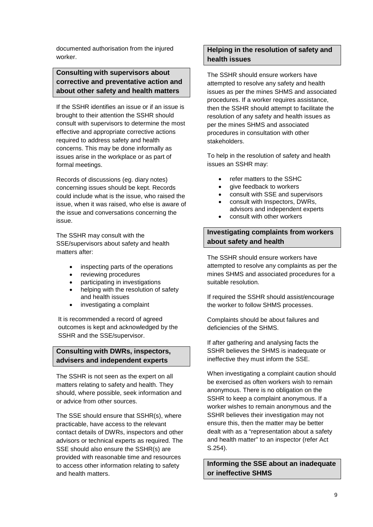documented authorisation from the injured worker.

### **Consulting with supervisors about corrective and preventative action and about other safety and health matters**

If the SSHR identifies an issue or if an issue is brought to their attention the SSHR should consult with supervisors to determine the most effective and appropriate corrective actions required to address safety and health concerns. This may be done informally as issues arise in the workplace or as part of formal meetings.

Records of discussions (eg. diary notes) concerning issues should be kept. Records could include what is the issue, who raised the issue, when it was raised, who else is aware of the issue and conversations concerning the issue.

The SSHR may consult with the SSE/supervisors about safety and health matters after:

- inspecting parts of the operations
- reviewing procedures
- participating in investigations
- helping with the resolution of safety and health issues
- investigating a complaint

It is recommended a record of agreed outcomes is kept and acknowledged by the SSHR and the SSE/supervisor.

#### **Consulting with DWRs, inspectors, advisers and independent experts**

The SSHR is not seen as the expert on all matters relating to safety and health. They should, where possible, seek information and or advice from other sources.

The SSE should ensure that SSHR(s), where practicable, have access to the relevant contact details of DWRs, inspectors and other advisors or technical experts as required. The SSE should also ensure the SSHR(s) are provided with reasonable time and resources to access other information relating to safety and health matters.

#### **Helping in the resolution of safety and health issues**

The SSHR should ensure workers have attempted to resolve any safety and health issues as per the mines SHMS and associated procedures. If a worker requires assistance, then the SSHR should attempt to facilitate the resolution of any safety and health issues as per the mines SHMS and associated procedures in consultation with other stakeholders.

To help in the resolution of safety and health issues an SSHR may:

- refer matters to the SSHC
- give feedback to workers
- consult with SSE and supervisors
- consult with Inspectors, DWRs,
- advisors and independent experts
- consult with other workers

#### **Investigating complaints from workers about safety and health**

The SSHR should ensure workers have attempted to resolve any complaints as per the mines SHMS and associated procedures for a suitable resolution.

If required the SSHR should assist/encourage the worker to follow SHMS processes.

Complaints should be about failures and deficiencies of the SHMS.

If after gathering and analysing facts the SSHR believes the SHMS is inadequate or ineffective they must inform the SSE.

When investigating a complaint caution should be exercised as often workers wish to remain anonymous. There is no obligation on the SSHR to keep a complaint anonymous. If a worker wishes to remain anonymous and the SSHR believes their investigation may not ensure this, then the matter may be better dealt with as a "representation about a safety and health matter" to an inspector (refer Act S.254).

**Informing the SSE about an inadequate or ineffective SHMS**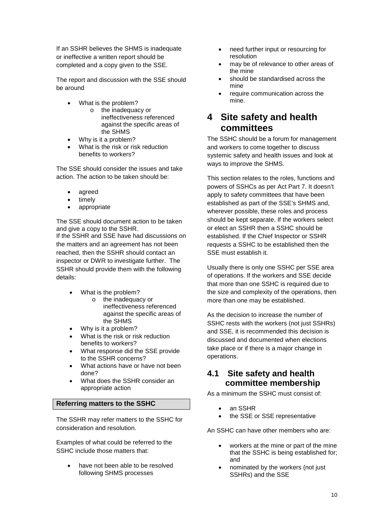If an SSHR believes the SHMS is inadequate or ineffective a written report should be completed and a copy given to the SSE.

The report and discussion with the SSE should be around

- What is the problem?
	- o the inadequacy or ineffectiveness referenced against the specific areas of the SHMS
- Why is it a problem?
- What is the risk or risk reduction benefits to workers?

The SSE should consider the issues and take action. The action to be taken should be:

- agreed
- timely
- appropriate

The SSE should document action to be taken and give a copy to the SSHR. If the SSHR and SSE have had discussions on the matters and an agreement has not been reached, then the SSHR should contact an inspector or DWR to investigate further. The SSHR should provide them with the following details:

- What is the problem?
	- o the inadequacy or ineffectiveness referenced against the specific areas of the SHMS
- Why is it a problem?
- What is the risk or risk reduction benefits to workers?
- What response did the SSE provide to the SSHR concerns?
- What actions have or have not been done?
- What does the SSHR consider an appropriate action

#### **Referring matters to the SSHC**

The SSHR may refer matters to the SSHC for consideration and resolution.

Examples of what could be referred to the SSHC include those matters that:

> have not been able to be resolved following SHMS processes

- need further input or resourcing for resolution
- may be of relevance to other areas of the mine
- should be standardised across the mine
- require communication across the mine.

### <span id="page-13-0"></span>**4 Site safety and health committees**

The SSHC should be a forum for management and workers to come together to discuss systemic safety and health issues and look at ways to improve the SHMS.

This section relates to the roles, functions and powers of SSHCs as per Act Part 7. It doesn't apply to safety committees that have been established as part of the SSE's SHMS and, wherever possible, these roles and process should be kept separate. If the workers select or elect an SSHR then a SSHC should be established. If the Chief Inspector or SSHR requests a SSHC to be established then the SSE must establish it.

Usually there is only one SSHC per SSE area of operations. If the workers and SSE decide that more than one SSHC is required due to the size and complexity of the operations, then more than one may be established.

As the decision to increase the number of SSHC rests with the workers (not just SSHRs) and SSE, it is recommended this decision is discussed and documented when elections take place or if there is a major change in operations.

### <span id="page-13-1"></span>**4.1 Site safety and health committee membership**

As a minimum the SSHC must consist of:

- an SSHR
- the SSE or SSE representative

An SSHC can have other members who are:

- workers at the mine or part of the mine that the SSHC is being established for; and
- nominated by the workers (not just SSHRs) and the SSE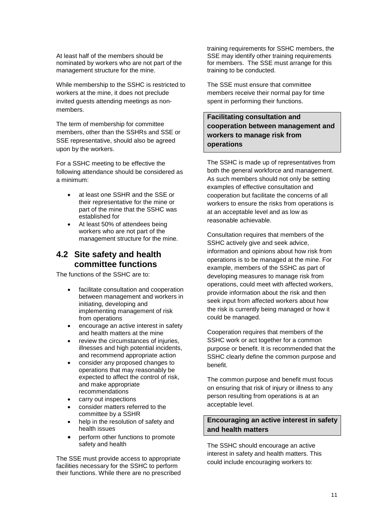At least half of the members should be nominated by workers who are not part of the management structure for the mine.

While membership to the SSHC is restricted to workers at the mine, it does not preclude invited guests attending meetings as nonmembers.

The term of membership for committee members, other than the SSHRs and SSE or SSE representative, should also be agreed upon by the workers.

For a SSHC meeting to be effective the following attendance should be considered as a minimum:

- at least one SSHR and the SSE or their representative for the mine or part of the mine that the SSHC was established for
- At least 50% of attendees being workers who are not part of the management structure for the mine.

### <span id="page-14-0"></span>**4.2 Site safety and health committee functions**

The functions of the SSHC are to:

- facilitate consultation and cooperation between management and workers in initiating, developing and implementing management of risk from operations
- encourage an active interest in safety and health matters at the mine
- review the circumstances of injuries. illnesses and high potential incidents, and recommend appropriate action
- consider any proposed changes to operations that may reasonably be expected to affect the control of risk, and make appropriate recommendations
- carry out inspections
- consider matters referred to the committee by a SSHR
- help in the resolution of safety and health issues
- perform other functions to promote safety and health

The SSE must provide access to appropriate facilities necessary for the SSHC to perform their functions. While there are no prescribed

training requirements for SSHC members, the SSE may identify other training requirements for members. The SSE must arrange for this training to be conducted.

The SSE must ensure that committee members receive their normal pay for time spent in performing their functions.

**Facilitating consultation and cooperation between management and workers to manage risk from operations**

The SSHC is made up of representatives from both the general workforce and management. As such members should not only be setting examples of effective consultation and cooperation but facilitate the concerns of all workers to ensure the risks from operations is at an acceptable level and as low as reasonable achievable.

Consultation requires that members of the SSHC actively give and seek advice, information and opinions about how risk from operations is to be managed at the mine. For example, members of the SSHC as part of developing measures to manage risk from operations, could meet with affected workers, provide information about the risk and then seek input from affected workers about how the risk is currently being managed or how it could be managed.

Cooperation requires that members of the SSHC work or act together for a common purpose or benefit. It is recommended that the SSHC clearly define the common purpose and benefit.

The common purpose and benefit must focus on ensuring that risk of injury or illness to any person resulting from operations is at an acceptable level.

#### **Encouraging an active interest in safety and health matters**

The SSHC should encourage an active interest in safety and health matters. This could include encouraging workers to: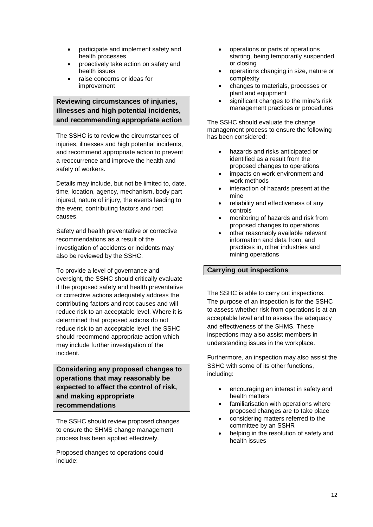- participate and implement safety and health processes
- proactively take action on safety and health issues
- raise concerns or ideas for improvement

### **Reviewing circumstances of injuries, illnesses and high potential incidents, and recommending appropriate action**

The SSHC is to review the circumstances of injuries, illnesses and high potential incidents, and recommend appropriate action to prevent a reoccurrence and improve the health and safety of workers.

Details may include, but not be limited to, date, time, location, agency, mechanism, body part injured, nature of injury, the events leading to the event, contributing factors and root causes.

Safety and health preventative or corrective recommendations as a result of the investigation of accidents or incidents may also be reviewed by the SSHC.

To provide a level of governance and oversight, the SSHC should critically evaluate if the proposed safety and health preventative or corrective actions adequately address the contributing factors and root causes and will reduce risk to an acceptable level. Where it is determined that proposed actions do not reduce risk to an acceptable level, the SSHC should recommend appropriate action which may include further investigation of the incident.

**Considering any proposed changes to operations that may reasonably be expected to affect the control of risk, and making appropriate recommendations**

The SSHC should review proposed changes to ensure the SHMS change management process has been applied effectively.

Proposed changes to operations could include:

- operations or parts of operations starting, being temporarily suspended or closing
- operations changing in size, nature or complexity
- changes to materials, processes or plant and equipment
- significant changes to the mine's risk management practices or procedures

The SSHC should evaluate the change management process to ensure the following has been considered:

- hazards and risks anticipated or identified as a result from the proposed changes to operations
- impacts on work environment and work methods
- interaction of hazards present at the mine
- reliability and effectiveness of any controls
- monitoring of hazards and risk from proposed changes to operations
- other reasonably available relevant information and data from, and practices in, other industries and mining operations

#### **Carrying out inspections**

The SSHC is able to carry out inspections. The purpose of an inspection is for the SSHC to assess whether risk from operations is at an acceptable level and to assess the adequacy and effectiveness of the SHMS. These inspections may also assist members in understanding issues in the workplace.

Furthermore, an inspection may also assist the SSHC with some of its other functions, including:

- encouraging an interest in safety and health matters
- familiarisation with operations where proposed changes are to take place
- considering matters referred to the committee by an SSHR
- helping in the resolution of safety and health issues